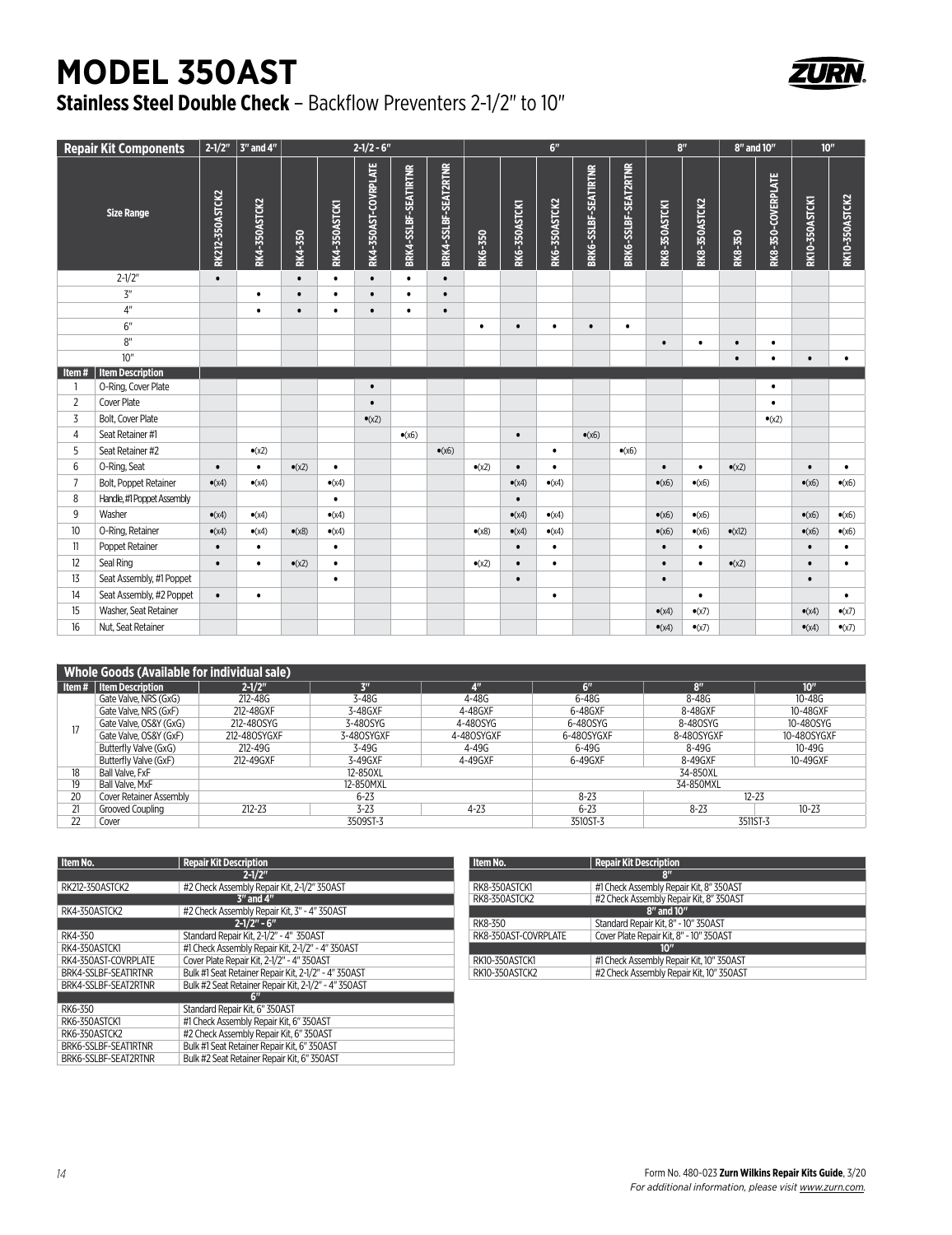## **MODEL 350AST**



## **Stainless Steel Double Check** – Backflow Preventers 2-1/2" to 10"

|                | <b>Repair Kit Components</b> | $2 - 1/2"$      | 3" and 4"      |                |                      | $2 - 1/2 - 6$ "      |                      |                      |                |                | 6 <sup>n</sup>       |                      |                      | 8 <sup>n</sup> |                      | 8" and 10"      |                    |                       | 10 <sup>''</sup> |
|----------------|------------------------------|-----------------|----------------|----------------|----------------------|----------------------|----------------------|----------------------|----------------|----------------|----------------------|----------------------|----------------------|----------------|----------------------|-----------------|--------------------|-----------------------|------------------|
|                | <b>Size Range</b>            | RK212-350ASTCK2 | RK4-350ASTCK2  | RK4-350        | <b>RK4-350ASTCK1</b> | RK4-350AST-COVRPLATE | BRK4-SSLBF-SEATIRTNR | BRK4-SSLBF-SEAT2RTNR | RK6-350        | RK6-350ASTCKI  | <b>RK6-350ASTCK2</b> | BRK6-SSLBF-SEATIRTNR | BRK6-SSLBF-SEAT2RTNR | RK8-350ASTCK1  | <b>RK8-350ASTCK2</b> | RK8-350         | RK8-350-COVERPLATE | <b>RK10-350ASTCK1</b> | RK10-350ASTCK2   |
|                | $2 - 1/2"$                   | $\bullet$       |                | $\bullet$      | $\bullet$            | $\bullet$            | $\bullet$            | $\bullet$            |                |                |                      |                      |                      |                |                      |                 |                    |                       |                  |
|                | 3 <sup>n</sup>               |                 | $\bullet$      | $\bullet$      | $\bullet$            | $\bullet$            | $\bullet$            | $\bullet$            |                |                |                      |                      |                      |                |                      |                 |                    |                       |                  |
|                | $4^{\prime\prime}$           |                 | $\bullet$      | $\bullet$      | $\bullet$            | $\bullet$            | $\bullet$            | $\bullet$            |                |                |                      |                      |                      |                |                      |                 |                    |                       |                  |
|                | 6"                           |                 |                |                |                      |                      |                      |                      | $\bullet$      | $\bullet$      | $\bullet$            | $\bullet$            | $\bullet$            |                |                      |                 |                    |                       |                  |
|                | 8 <sup>n</sup>               |                 |                |                |                      |                      |                      |                      |                |                |                      |                      |                      | $\bullet$      | $\bullet$            | $\bullet$       | $\bullet$          |                       |                  |
|                | 10"                          |                 |                |                |                      |                      |                      |                      |                |                |                      |                      |                      |                |                      | $\bullet$       | $\bullet$          | $\bullet$             | $\bullet$        |
| Item#          | <b>Item Description</b>      |                 |                |                |                      |                      |                      |                      |                |                |                      |                      |                      |                |                      |                 |                    |                       |                  |
| -1             | O-Ring, Cover Plate          |                 |                |                |                      | $\bullet$            |                      |                      |                |                |                      |                      |                      |                |                      |                 | $\bullet$          |                       |                  |
| $\overline{2}$ | <b>Cover Plate</b>           |                 |                |                |                      | $\bullet$            |                      |                      |                |                |                      |                      |                      |                |                      |                 | $\bullet$          |                       |                  |
| 3              | <b>Bolt. Cover Plate</b>     |                 |                |                |                      | $\bullet$ (x2)       |                      |                      |                |                |                      |                      |                      |                |                      |                 | $\bullet$ (x2)     |                       |                  |
| 4              | Seat Retainer #1             |                 |                |                |                      |                      | $\bullet$ (x6)       |                      |                | $\bullet$      |                      | $\bullet$ (x6)       |                      |                |                      |                 |                    |                       |                  |
| 5              | Seat Retainer #2             |                 | $\bullet$ (x2) |                |                      |                      |                      | $\bullet$ (x6)       |                |                | $\bullet$            |                      | $\bullet$ (x6)       |                |                      |                 |                    |                       |                  |
| 6              | O-Ring, Seat                 | $\bullet$       | $\bullet$      | $\bullet$ (x2) | $\bullet$            |                      |                      |                      | $\bullet$ (x2) | $\bullet$      | $\bullet$            |                      |                      | $\bullet$      | $\bullet$            | $\bullet$ (x2)  |                    | $\bullet$             | $\bullet$        |
| 7              | Bolt, Poppet Retainer        | $\bullet$ (x4)  | $\bullet$ (x4) |                | $\bullet$ (x4)       |                      |                      |                      |                | $\bullet$ (x4) | $\bullet$ (x4)       |                      |                      | $\bullet$ (x6) | $\bullet$ (x6)       |                 |                    | $\bullet$ (x6)        | $\bullet$ (x6)   |
| 8              | Handle, #1 Poppet Assembly   |                 |                |                | $\bullet$            |                      |                      |                      |                | $\bullet$      |                      |                      |                      |                |                      |                 |                    |                       |                  |
| 9              | Washer                       | $\bullet$ (x4)  | $\bullet$ (x4) |                | $\bullet$ (x4)       |                      |                      |                      |                | $\bullet$ (x4) | $\bullet$ (x4)       |                      |                      | $\bullet$ (x6) | $\bullet$ (x6)       |                 |                    | $\bullet$ (x6)        | $\bullet$ (x6)   |
| 10             | O-Ring, Retainer             | $\bullet$ (x4)  | $\bullet$ (x4) | $\bullet$ (x8) | $\bullet$ (x4)       |                      |                      |                      | $\bullet$ (x8) | $\bullet$ (x4) | $\bullet$ (x4)       |                      |                      | $\bullet$ (x6) | $\bullet$ (x6)       | $\bullet$ (x12) |                    | $\bullet$ (x6)        | $\bullet$ (x6)   |
| $\mathbf{1}$   | Poppet Retainer              | $\bullet$       | $\bullet$      |                | $\bullet$            |                      |                      |                      |                | $\bullet$      | $\bullet$            |                      |                      | $\bullet$      | $\bullet$            |                 |                    | $\bullet$             | $\bullet$        |
| 12             | Seal Ring                    | $\bullet$       | $\bullet$      | $\bullet$ (x2) | $\bullet$            |                      |                      |                      | $\bullet$ (x2) | $\bullet$      | $\bullet$            |                      |                      | $\bullet$      | $\bullet$            | $\bullet$ (x2)  |                    | $\bullet$             | $\bullet$        |
| 13             | Seat Assembly, #1 Poppet     |                 |                |                | $\bullet$            |                      |                      |                      |                | $\bullet$      |                      |                      |                      | $\bullet$      |                      |                 |                    | $\bullet$             |                  |
| 14             | Seat Assembly, #2 Poppet     | $\bullet$       | $\bullet$      |                |                      |                      |                      |                      |                |                | $\bullet$            |                      |                      |                | $\bullet$            |                 |                    |                       | $\bullet$        |
| 15             | Washer, Seat Retainer        |                 |                |                |                      |                      |                      |                      |                |                |                      |                      |                      | $\bullet$ (x4) | $\bullet$ (x7)       |                 |                    | $\bullet$ (x4)        | $\bullet$ (x7)   |
| 16             | Nut. Seat Retainer           |                 |                |                |                      |                      |                      |                      |                |                |                      |                      |                      | $\bullet$ (x4) | $\bullet$ (x7)       |                 |                    | $\bullet$ (x4)        | $\bullet$ (x7)   |

|         | <b>Whole Goods (Available for individual sale)</b> |              |                |                |                       |                 |                  |  |  |  |
|---------|----------------------------------------------------|--------------|----------------|----------------|-----------------------|-----------------|------------------|--|--|--|
| l Item# | Item Description                                   | $2 - 1/2$ "  | 3 <sup>m</sup> | 4 <sup>n</sup> | 6"                    | 8 <sup>II</sup> | 10 <sup>''</sup> |  |  |  |
| 17      | Gate Valve, NRS (GxG)                              | 212-48G      | 3-48G          | 4-48G          | $6 - 48G$             | $8 - 48G$       | $10 - 48G$       |  |  |  |
|         | Gate Valve, NRS (GxF)                              | 212-48GXF    | 3-48GXF        | 4-48GXF        | 6-48GXF               | 8-48GXF         | 10-48GXF         |  |  |  |
|         | Gate Valve, OS&Y (GxG)                             | 212-480SYG   | 3-480SYG       | 4-480SYG       | 6-480SYG              | 8-480SYG        | 10-480SYG        |  |  |  |
|         | Gate Valve, OS&Y (GxF)                             | 212-480SYGXF | 3-480SYGXF     | 4-480SYGXF     | 6-480SYGXF            | 8-480SYGXF      | 10-480SYGXF      |  |  |  |
|         | Butterfly Valve (GxG)                              | $212 - 49G$  | $3 - 49G$      | $4 - 49G$      | $6 - 49G$             | $8 - 49G$       | $10 - 49G$       |  |  |  |
|         | Butterfly Valve (GxF)                              | 212-49GXF    | 3-49GXF        | 4-49GXF        | 6-49GXF               | 8-49GXF         | 10-49GXF         |  |  |  |
| 18      | Ball Valve, FxF                                    |              | 12-850XL       |                | 34-850XL              |                 |                  |  |  |  |
| 19      | Ball Valve, MxF                                    |              | 12-850MXL      |                | 34-850MXL             |                 |                  |  |  |  |
| 20      | <b>Cover Retainer Assembly</b>                     |              | $6 - 23$       |                | $8 - 23$<br>$12 - 23$ |                 |                  |  |  |  |
| 21      | Grooved Coupling                                   | $212 - 23$   | $3 - 23$       | $4 - 23$       | $6 - 23$              | $8 - 23$        | $10 - 23$        |  |  |  |
| 22      | Cover                                              |              | 3509ST-3       |                | 3511ST-3<br>3510ST-3  |                 |                  |  |  |  |

| Item No.             | <b>Repair Kit Description</b>                        |
|----------------------|------------------------------------------------------|
|                      | $2 - 1/2$ "                                          |
| RK212-350ASTCK2      | #2 Check Assembly Repair Kit, 2-1/2" 350AST          |
|                      | $3''$ and $4''$                                      |
| RK4-350ASTCK2        | #2 Check Assembly Repair Kit, 3" - 4" 350AST         |
|                      | $2 - 1/2" - 6"$                                      |
| RK4-350              | Standard Repair Kit. 2-1/2" - 4" 350AST              |
| RK4-350ASTCK1        | #1 Check Assembly Repair Kit. 2-1/2" - 4" 350AST     |
| RK4-350AST-COVRPLATE | Cover Plate Repair Kit. 2-1/2" - 4" 350AST           |
| BRK4-SSLBF-SEAT1RTNR | Bulk #1 Seat Retainer Repair Kit, 2-1/2" - 4" 350AST |
| BRK4-SSLBF-SEAT2RTNR | Bulk #2 Seat Retainer Repair Kit, 2-1/2" - 4" 350AST |
|                      | 6"                                                   |
| RK6-350              | Standard Repair Kit. 6" 350AST                       |
| RK6-350ASTCK1        | #1 Check Assembly Repair Kit. 6" 350AST              |
| RK6-350ASTCK2        | #2 Check Assembly Repair Kit. 6" 350AST              |
| BRK6-SSLBF-SEATIRTNR | Bulk #1 Seat Retainer Repair Kit. 6" 350AST          |
| BRK6-SSLBF-SEAT2RTNR | Bulk #2 Seat Retainer Repair Kit. 6" 350AST          |

| Item No.             | <b>Repair Kit Description</b>            |  |  |  |  |
|----------------------|------------------------------------------|--|--|--|--|
| $\mathbf{R}^n$       |                                          |  |  |  |  |
| RK8-350ASTCK1        | #1 Check Assembly Repair Kit, 8" 350AST  |  |  |  |  |
| RK8-350ASTCK2        | #2 Check Assembly Repair Kit, 8" 350AST  |  |  |  |  |
| 8" and 10"           |                                          |  |  |  |  |
| RK8-350              | Standard Repair Kit. 8" - 10" 350AST     |  |  |  |  |
| RK8-350AST-COVRPLATE | Cover Plate Repair Kit, 8" - 10" 350AST  |  |  |  |  |
| 10 <sup>n</sup>      |                                          |  |  |  |  |
| RK10-350ASTCK1       | #1 Check Assembly Repair Kit, 10" 350AST |  |  |  |  |
| RK10-350ASTCK2       | #2 Check Assembly Repair Kit, 10" 350AST |  |  |  |  |